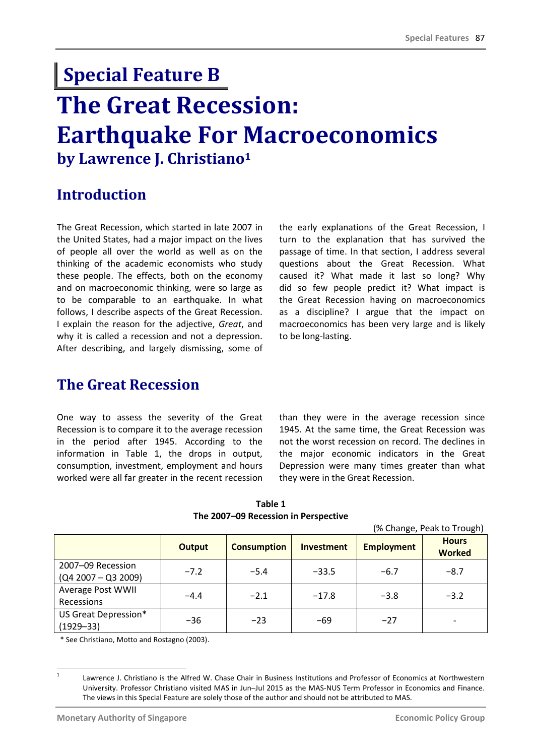# **The Great Recession: Earthquake For Macroeconomics by Lawrence J. Christiano<sup>1</sup> Special Feature B**

## **Introduction**

The Great Recession, which started in late 2007 in the United States, had a major impact on the lives of people all over the world as well as on the thinking of the academic economists who study these people. The effects, both on the economy and on macroeconomic thinking, were so large as to be comparable to an earthquake. In what follows, I describe aspects of the Great Recession. I explain the reason for the adjective, *Great*, and why it is called a recession and not a depression. After describing, and largely dismissing, some of the early explanations of the Great Recession, I turn to the explanation that has survived the passage of time. In that section, I address several questions about the Great Recession. What caused it? What made it last so long? Why did so few people predict it? What impact is the Great Recession having on macroeconomics as a discipline? I argue that the impact on macroeconomics has been very large and is likely to be long-lasting.

### **The Great Recession**

One way to assess the severity of the Great Recession is to compare it to the average recession in the period after 1945. According to the information in Table 1, the drops in output, consumption, investment, employment and hours worked were all far greater in the recent recession than they were in the average recession since 1945. At the same time, the Great Recession was not the worst recession on record. The declines in the major economic indicators in the Great Depression were many times greater than what they were in the Great Recession.

|                       |               |                    |                   |                   | (% Change, Peak to Trough)    |  |
|-----------------------|---------------|--------------------|-------------------|-------------------|-------------------------------|--|
|                       | <b>Output</b> | <b>Consumption</b> | <b>Investment</b> | <b>Employment</b> | <b>Hours</b><br><b>Worked</b> |  |
| 2007-09 Recession     | $-7.2$        | $-5.4$             | $-33.5$           | $-6.7$            | $-8.7$                        |  |
| $(Q4 2007 - Q3 2009)$ |               |                    |                   |                   |                               |  |
| Average Post WWII     | $-4.4$        | $-2.1$             | $-17.8$           | $-3.8$            | $-3.2$                        |  |
| Recessions            |               |                    |                   |                   |                               |  |
| US Great Depression*  | $-36$         | $-23$              | $-69$             | $-27$             |                               |  |
| $(1929 - 33)$         |               |                    |                   |                   |                               |  |

**Table 1 The 2007–09 Recession in Perspective**

\* See Christiano, Motto and Rostagno (2003).

 $\frac{1}{1}$ Lawrence J. Christiano is the Alfred W. Chase Chair in Business Institutions and Professor of Economics at Northwestern University. Professor Christiano visited MAS in Jun–Jul 2015 as the MAS-NUS Term Professor in Economics and Finance. The views in this Special Feature are solely those of the author and should not be attributed to MAS.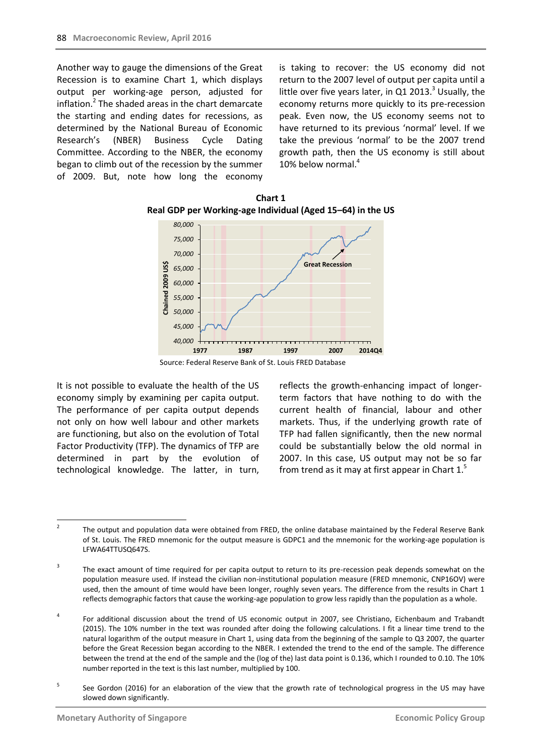Another way to gauge the dimensions of the Great Recession is to examine Chart 1, which displays output per working-age person, adjusted for inflation.<sup>2</sup> The shaded areas in the chart demarcate the starting and ending dates for recessions, as determined by the National Bureau of Economic Research's (NBER) Business Cycle Dating Committee. According to the NBER, the economy began to climb out of the recession by the summer of 2009. But, note how long the economy is taking to recover: the US economy did not return to the 2007 level of output per capita until a little over five years later, in Q1 2013. $3$  Usually, the economy returns more quickly to its pre-recession peak. Even now, the US economy seems not to have returned to its previous 'normal' level. If we take the previous 'normal' to be the 2007 trend growth path, then the US economy is still about 10% below normal.<sup>4</sup>



**Chart 1 Real GDP per Working-age Individual (Aged 15–64) in the US**

Source: Federal Reserve Bank of St. Louis FRED Database

It is not possible to evaluate the health of the US economy simply by examining per capita output. The performance of per capita output depends not only on how well labour and other markets are functioning, but also on the evolution of Total Factor Productivity (TFP). The dynamics of TFP are determined in part by the evolution of technological knowledge. The latter, in turn,

reflects the growth-enhancing impact of longerterm factors that have nothing to do with the current health of financial, labour and other markets. Thus, if the underlying growth rate of TFP had fallen significantly, then the new normal could be substantially below the old normal in 2007. In this case, US output may not be so far from trend as it may at first appear in Chart  $1<sup>5</sup>$ 

 $\frac{1}{2}$ The output and population data were obtained from FRED, the online database maintained by the Federal Reserve Bank of St. Louis. The FRED mnemonic for the output measure is GDPC1 and the mnemonic for the working-age population is LFWA64TTUSQ647S.

<sup>3</sup> The exact amount of time required for per capita output to return to its pre-recession peak depends somewhat on the population measure used. If instead the civilian non-institutional population measure (FRED mnemonic, CNP16OV) were used, then the amount of time would have been longer, roughly seven years. The difference from the results in Chart 1 reflects demographic factors that cause the working-age population to grow less rapidly than the population as a whole.

<sup>4</sup> For additional discussion about the trend of US economic output in 2007, see Christiano, Eichenbaum and Trabandt (2015). The 10% number in the text was rounded after doing the following calculations. I fit a linear time trend to the natural logarithm of the output measure in Chart 1, using data from the beginning of the sample to Q3 2007, the quarter before the Great Recession began according to the NBER. I extended the trend to the end of the sample. The difference between the trend at the end of the sample and the (log of the) last data point is 0.136, which I rounded to 0.10. The 10% number reported in the text is this last number, multiplied by 100.

<sup>5</sup> See Gordon (2016) for an elaboration of the view that the growth rate of technological progress in the US may have slowed down significantly.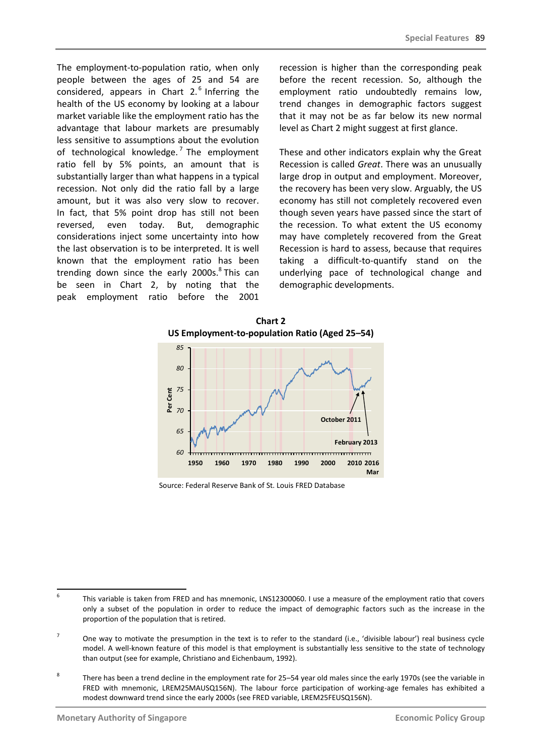The employment-to-population ratio, when only people between the ages of 25 and 54 are considered, appears in Chart  $2.6$  Inferring the health of the US economy by looking at a labour market variable like the employment ratio has the advantage that labour markets are presumably less sensitive to assumptions about the evolution of technological knowledge.<sup>7</sup> The employment ratio fell by 5% points, an amount that is substantially larger than what happens in a typical recession. Not only did the ratio fall by a large amount, but it was also very slow to recover. In fact, that 5% point drop has still not been reversed, even today. But, demographic considerations inject some uncertainty into how the last observation is to be interpreted. It is well known that the employment ratio has been trending down since the early 2000s.<sup>8</sup> This can be seen in Chart 2, by noting that the peak employment ratio before the 2001

recession is higher than the corresponding peak before the recent recession. So, although the employment ratio undoubtedly remains low, trend changes in demographic factors suggest that it may not be as far below its new normal level as Chart 2 might suggest at first glance.

These and other indicators explain why the Great Recession is called *Great*. There was an unusually large drop in output and employment. Moreover, the recovery has been very slow. Arguably, the US economy has still not completely recovered even though seven years have passed since the start of the recession. To what extent the US economy may have completely recovered from the Great Recession is hard to assess, because that requires taking a difficult-to-quantify stand on the underlying pace of technological change and demographic developments.



Source: Federal Reserve Bank of St. Louis FRED Database

<sup>-&</sup>lt;br>6 This variable is taken from FRED and has mnemonic, LNS12300060. I use a measure of the employment ratio that covers only a subset of the population in order to reduce the impact of demographic factors such as the increase in the proportion of the population that is retired.

<sup>7</sup> One way to motivate the presumption in the text is to refer to the standard (i.e., 'divisible labour') real business cycle model. A well-known feature of this model is that employment is substantially less sensitive to the state of technology than output (see for example, Christiano and Eichenbaum, 1992).

<sup>8</sup> There has been a trend decline in the employment rate for 25–54 year old males since the early 1970s (see the variable in FRED with mnemonic, LREM25MAUSQ156N). The labour force participation of working-age females has exhibited a modest downward trend since the early 2000s (see FRED variable, LREM25FEUSQ156N).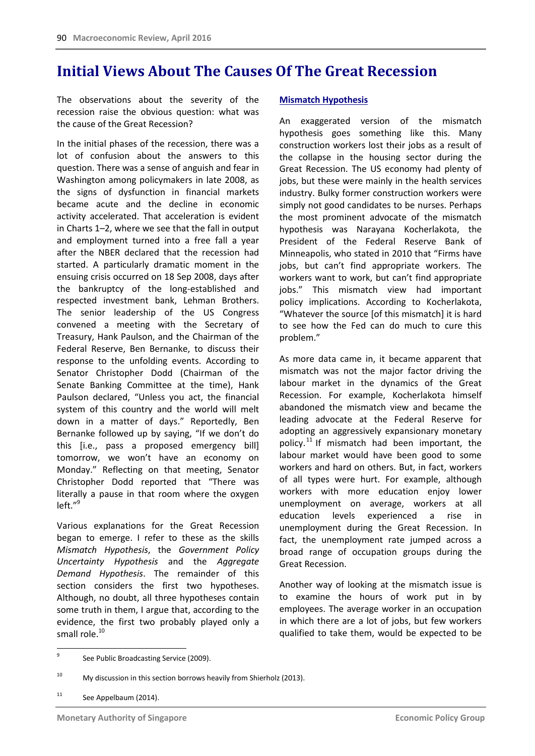## **Initial Views About The Causes Of The Great Recession**

The observations about the severity of the recession raise the obvious question: what was the cause of the Great Recession?

In the initial phases of the recession, there was a lot of confusion about the answers to this question. There was a sense of anguish and fear in Washington among policymakers in late 2008, as the signs of dysfunction in financial markets became acute and the decline in economic activity accelerated. That acceleration is evident in Charts 1–2, where we see that the fall in output and employment turned into a free fall a year after the NBER declared that the recession had started. A particularly dramatic moment in the ensuing crisis occurred on 18 Sep 2008, days after the bankruptcy of the long-established and respected investment bank, Lehman Brothers. The senior leadership of the US Congress convened a meeting with the Secretary of Treasury, Hank Paulson, and the Chairman of the Federal Reserve, Ben Bernanke, to discuss their response to the unfolding events. According to Senator Christopher Dodd (Chairman of the Senate Banking Committee at the time), Hank Paulson declared, "Unless you act, the financial system of this country and the world will melt down in a matter of days." Reportedly, Ben Bernanke followed up by saying, "If we don't do this [i.e., pass a proposed emergency bill] tomorrow, we won't have an economy on Monday." Reflecting on that meeting, Senator Christopher Dodd reported that "There was literally a pause in that room where the oxygen left." 9

Various explanations for the Great Recession began to emerge. I refer to these as the skills *Mismatch Hypothesis*, the *Government Policy Uncertainty Hypothesis* and the *Aggregate Demand Hypothesis*. The remainder of this section considers the first two hypotheses. Although, no doubt, all three hypotheses contain some truth in them, I argue that, according to the evidence, the first two probably played only a small role.<sup>10</sup>

#### **Mismatch Hypothesis**

An exaggerated version of the mismatch hypothesis goes something like this. Many construction workers lost their jobs as a result of the collapse in the housing sector during the Great Recession. The US economy had plenty of jobs, but these were mainly in the health services industry. Bulky former construction workers were simply not good candidates to be nurses. Perhaps the most prominent advocate of the mismatch hypothesis was Narayana Kocherlakota, the President of the Federal Reserve Bank of Minneapolis, who stated in 2010 that "Firms have jobs, but can't find appropriate workers. The workers want to work, but can't find appropriate jobs." This mismatch view had important policy implications. According to Kocherlakota, "Whatever the source [of this mismatch] it is hard to see how the Fed can do much to cure this problem."

As more data came in, it became apparent that mismatch was not the major factor driving the labour market in the dynamics of the Great Recession. For example, Kocherlakota himself abandoned the mismatch view and became the leading advocate at the Federal Reserve for adopting an aggressively expansionary monetary policy.<sup>11</sup> If mismatch had been important, the labour market would have been good to some workers and hard on others. But, in fact, workers of all types were hurt. For example, although workers with more education enjoy lower unemployment on average, workers at all education levels experienced a rise in unemployment during the Great Recession. In fact, the unemployment rate jumped across a broad range of occupation groups during the Great Recession.

Another way of looking at the mismatch issue is to examine the hours of work put in by employees. The average worker in an occupation in which there are a lot of jobs, but few workers qualified to take them, would be expected to be

<sup>11</sup> See Appelbaum (2014).

<sup>-&</sup>lt;br>9 See Public Broadcasting Service (2009).

<sup>&</sup>lt;sup>10</sup> My discussion in this section borrows heavily from Shierholz (2013).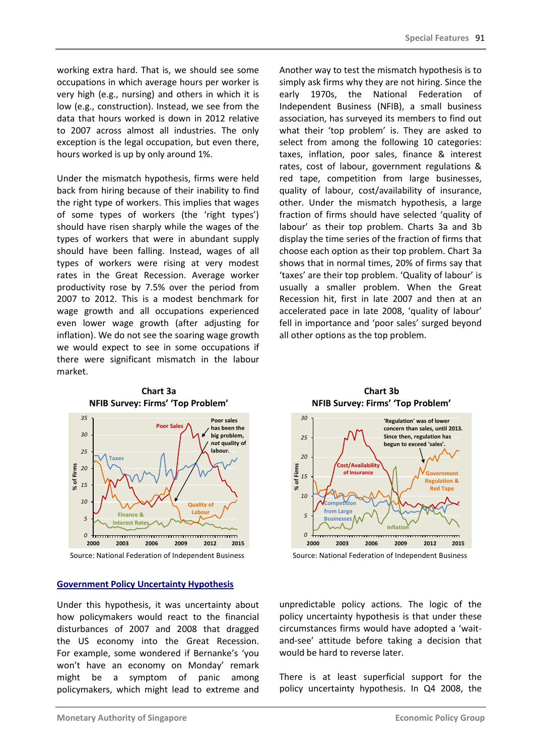working extra hard. That is, we should see some occupations in which average hours per worker is very high (e.g., nursing) and others in which it is low (e.g., construction). Instead, we see from the data that hours worked is down in 2012 relative to 2007 across almost all industries. The only exception is the legal occupation, but even there, hours worked is up by only around 1%.

Under the mismatch hypothesis, firms were held back from hiring because of their inability to find the right type of workers. This implies that wages of some types of workers (the 'right types') should have risen sharply while the wages of the types of workers that were in abundant supply should have been falling. Instead, wages of all types of workers were rising at very modest rates in the Great Recession. Average worker productivity rose by 7.5% over the period from 2007 to 2012. This is a modest benchmark for wage growth and all occupations experienced even lower wage growth (after adjusting for inflation). We do not see the soaring wage growth we would expect to see in some occupations if there were significant mismatch in the labour market.

Another way to test the mismatch hypothesis is to simply ask firms why they are not hiring. Since the early 1970s, the National Federation of Independent Business (NFIB), a small business association, has surveyed its members to find out what their 'top problem' is. They are asked to select from among the following 10 categories: taxes, inflation, poor sales, finance & interest rates, cost of labour, government regulations & red tape, competition from large businesses, quality of labour, cost/availability of insurance, other. Under the mismatch hypothesis, a large fraction of firms should have selected 'quality of labour' as their top problem. Charts 3a and 3b display the time series of the fraction of firms that choose each option as their top problem. Chart 3a shows that in normal times, 20% of firms say that 'taxes' are their top problem. 'Quality of labour' is usually a smaller problem. When the Great Recession hit, first in late 2007 and then at an accelerated pace in late 2008, 'quality of labour' fell in importance and 'poor sales' surged beyond all other options as the top problem.



**Chart 3a NFIB Survey: Firms' 'Top Problem'**

#### **Government Policy Uncertainty Hypothesis**

Under this hypothesis, it was uncertainty about how policymakers would react to the financial disturbances of 2007 and 2008 that dragged the US economy into the Great Recession. For example, some wondered if Bernanke's 'you won't have an economy on Monday' remark might be a symptom of panic among policymakers, which might lead to extreme and

**Chart 3b NFIB Survey: Firms' 'Top Problem'**



Source: National Federation of Independent Business Source: National Federation of Independent Business

unpredictable policy actions. The logic of the policy uncertainty hypothesis is that under these circumstances firms would have adopted a 'waitand-see' attitude before taking a decision that would be hard to reverse later.

There is at least superficial support for the policy uncertainty hypothesis. In Q4 2008, the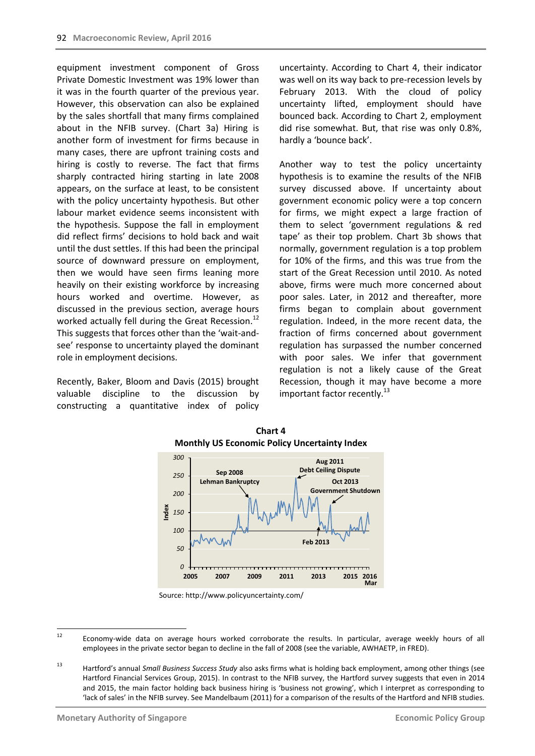equipment investment component of Gross Private Domestic Investment was 19% lower than it was in the fourth quarter of the previous year. However, this observation can also be explained by the sales shortfall that many firms complained about in the NFIB survey. (Chart 3a) Hiring is another form of investment for firms because in many cases, there are upfront training costs and hiring is costly to reverse. The fact that firms sharply contracted hiring starting in late 2008 appears, on the surface at least, to be consistent with the policy uncertainty hypothesis. But other labour market evidence seems inconsistent with the hypothesis. Suppose the fall in employment did reflect firms' decisions to hold back and wait until the dust settles. If this had been the principal source of downward pressure on employment, then we would have seen firms leaning more heavily on their existing workforce by increasing hours worked and overtime. However, as discussed in the previous section, average hours worked actually fell during the Great Recession.<sup>12</sup> This suggests that forces other than the 'wait-andsee' response to uncertainty played the dominant role in employment decisions.

Recently, Baker, Bloom and Davis (2015) brought valuable discipline to the discussion by constructing a quantitative index of policy uncertainty. According to Chart 4, their indicator was well on its way back to pre-recession levels by February 2013. With the cloud of policy uncertainty lifted, employment should have bounced back. According to Chart 2, employment did rise somewhat. But, that rise was only 0.8%, hardly a 'bounce back'.

Another way to test the policy uncertainty hypothesis is to examine the results of the NFIB survey discussed above. If uncertainty about government economic policy were a top concern for firms, we might expect a large fraction of them to select 'government regulations & red tape' as their top problem. Chart 3b shows that normally, government regulation is a top problem for 10% of the firms, and this was true from the start of the Great Recession until 2010. As noted above, firms were much more concerned about poor sales. Later, in 2012 and thereafter, more firms began to complain about government regulation. Indeed, in the more recent data, the fraction of firms concerned about government regulation has surpassed the number concerned with poor sales. We infer that government regulation is not a likely cause of the Great Recession, though it may have become a more important factor recently. $^{13}$ 





Source: http://www.policyuncertainty.com/

 $12$ <sup>12</sup> Economy-wide data on average hours worked corroborate the results. In particular, average weekly hours of all employees in the private sector began to decline in the fall of 2008 (see the variable, AWHAETP, in FRED).

<sup>13</sup> Hartford's annual *Small Business Success Study* also asks firms what is holding back employment, among other things (see Hartford Financial Services Group, 2015). In contrast to the NFIB survey, the Hartford survey suggests that even in 2014 and 2015, the main factor holding back business hiring is 'business not growing', which I interpret as corresponding to 'lack of sales' in the NFIB survey. See Mandelbaum (2011) for a comparison of the results of the Hartford and NFIB studies.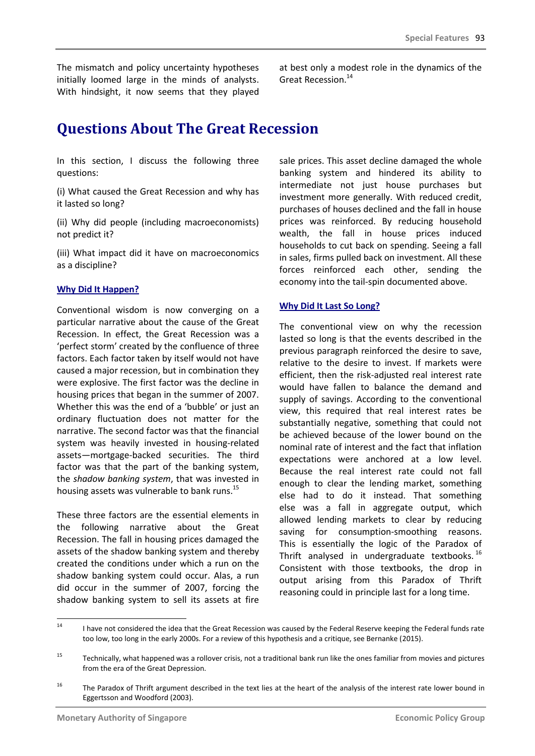The mismatch and policy uncertainty hypotheses initially loomed large in the minds of analysts. With hindsight, it now seems that they played at best only a modest role in the dynamics of the Great Recession.<sup>14</sup>

# **Questions About The Great Recession**

In this section, I discuss the following three questions:

(i) What caused the Great Recession and why has it lasted so long?

(ii) Why did people (including macroeconomists) not predict it?

(iii) What impact did it have on macroeconomics as a discipline?

### **Why Did It Happen?**

Conventional wisdom is now converging on a particular narrative about the cause of the Great Recession. In effect, the Great Recession was a 'perfect storm' created by the confluence of three factors. Each factor taken by itself would not have caused a major recession, but in combination they were explosive. The first factor was the decline in housing prices that began in the summer of 2007. Whether this was the end of a 'bubble' or just an ordinary fluctuation does not matter for the narrative. The second factor was that the financial system was heavily invested in housing-related assets—mortgage-backed securities. The third factor was that the part of the banking system, the *shadow banking system*, that was invested in housing assets was vulnerable to bank runs.<sup>15</sup>

These three factors are the essential elements in the following narrative about the Great Recession. The fall in housing prices damaged the assets of the shadow banking system and thereby created the conditions under which a run on the shadow banking system could occur. Alas, a run did occur in the summer of 2007, forcing the shadow banking system to sell its assets at fire

sale prices. This asset decline damaged the whole banking system and hindered its ability to intermediate not just house purchases but investment more generally. With reduced credit, purchases of houses declined and the fall in house prices was reinforced. By reducing household wealth, the fall in house prices induced households to cut back on spending. Seeing a fall in sales, firms pulled back on investment. All these forces reinforced each other, sending the economy into the tail-spin documented above.

### **Why Did It Last So Long?**

The conventional view on why the recession lasted so long is that the events described in the previous paragraph reinforced the desire to save, relative to the desire to invest. If markets were efficient, then the risk-adjusted real interest rate would have fallen to balance the demand and supply of savings. According to the conventional view, this required that real interest rates be substantially negative, something that could not be achieved because of the lower bound on the nominal rate of interest and the fact that inflation expectations were anchored at a low level. Because the real interest rate could not fall enough to clear the lending market, something else had to do it instead. That something else was a fall in aggregate output, which allowed lending markets to clear by reducing saving for consumption-smoothing reasons. This is essentially the logic of the Paradox of Thrift analysed in undergraduate textbooks.  $^{16}$ Consistent with those textbooks, the drop in output arising from this Paradox of Thrift reasoning could in principle last for a long time.

 $14$ I have not considered the idea that the Great Recession was caused by the Federal Reserve keeping the Federal funds rate too low, too long in the early 2000s. For a review of this hypothesis and a critique, see Bernanke (2015).

<sup>&</sup>lt;sup>15</sup> Technically, what happened was a rollover crisis, not a traditional bank run like the ones familiar from movies and pictures from the era of the Great Depression.

<sup>&</sup>lt;sup>16</sup> The Paradox of Thrift argument described in the text lies at the heart of the analysis of the interest rate lower bound in Eggertsson and Woodford (2003).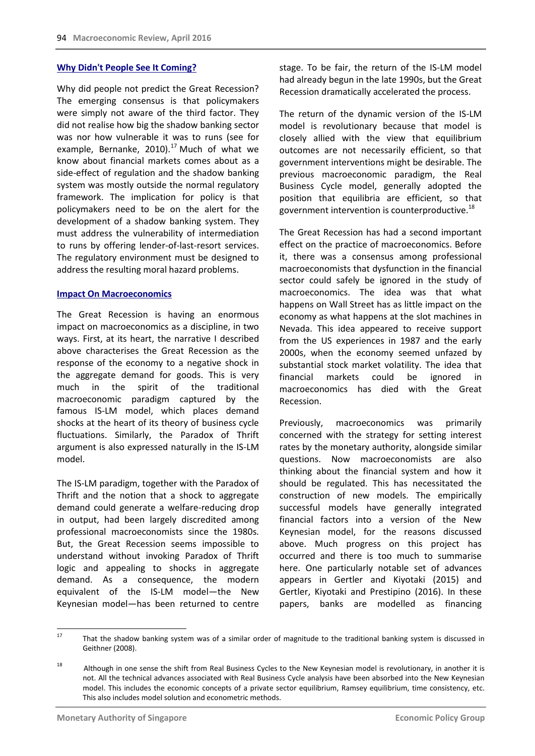#### **Why Didn't People See It Coming?**

Why did people not predict the Great Recession? The emerging consensus is that policymakers were simply not aware of the third factor. They did not realise how big the shadow banking sector was nor how vulnerable it was to runs (see for example, Bernanke, 2010).<sup>17</sup> Much of what we know about financial markets comes about as a side-effect of regulation and the shadow banking system was mostly outside the normal regulatory framework. The implication for policy is that policymakers need to be on the alert for the development of a shadow banking system. They must address the vulnerability of intermediation to runs by offering lender-of-last-resort services. The regulatory environment must be designed to address the resulting moral hazard problems.

#### **Impact On Macroeconomics**

The Great Recession is having an enormous impact on macroeconomics as a discipline, in two ways. First, at its heart, the narrative I described above characterises the Great Recession as the response of the economy to a negative shock in the aggregate demand for goods. This is very much in the spirit of the traditional macroeconomic paradigm captured by the famous IS-LM model, which places demand shocks at the heart of its theory of business cycle fluctuations. Similarly, the Paradox of Thrift argument is also expressed naturally in the IS-LM model.

The IS-LM paradigm, together with the Paradox of Thrift and the notion that a shock to aggregate demand could generate a welfare-reducing drop in output, had been largely discredited among professional macroeconomists since the 1980s. But, the Great Recession seems impossible to understand without invoking Paradox of Thrift logic and appealing to shocks in aggregate demand. As a consequence, the modern equivalent of the IS-LM model—the New Keynesian model—has been returned to centre stage. To be fair, the return of the IS-LM model had already begun in the late 1990s, but the Great Recession dramatically accelerated the process.

The return of the dynamic version of the IS-LM model is revolutionary because that model is closely allied with the view that equilibrium outcomes are not necessarily efficient, so that government interventions might be desirable. The previous macroeconomic paradigm, the Real Business Cycle model, generally adopted the position that equilibria are efficient, so that government intervention is counterproductive. $^{18}$ 

The Great Recession has had a second important effect on the practice of macroeconomics. Before it, there was a consensus among professional macroeconomists that dysfunction in the financial sector could safely be ignored in the study of macroeconomics. The idea was that what happens on Wall Street has as little impact on the economy as what happens at the slot machines in Nevada. This idea appeared to receive support from the US experiences in 1987 and the early 2000s, when the economy seemed unfazed by substantial stock market volatility. The idea that financial markets could be ignored in macroeconomics has died with the Great Recession.

Previously, macroeconomics was primarily concerned with the strategy for setting interest rates by the monetary authority, alongside similar questions. Now macroeconomists are also thinking about the financial system and how it should be regulated. This has necessitated the construction of new models. The empirically successful models have generally integrated financial factors into a version of the New Keynesian model, for the reasons discussed above. Much progress on this project has occurred and there is too much to summarise here. One particularly notable set of advances appears in Gertler and Kiyotaki (2015) and Gertler, Kiyotaki and Prestipino (2016). In these papers, banks are modelled as financing

 $17$ <sup>17</sup> That the shadow banking system was of a similar order of magnitude to the traditional banking system is discussed in Geithner (2008).

<sup>&</sup>lt;sup>18</sup> Although in one sense the shift from Real Business Cycles to the New Keynesian model is revolutionary, in another it is not. All the technical advances associated with Real Business Cycle analysis have been absorbed into the New Keynesian model. This includes the economic concepts of a private sector equilibrium, Ramsey equilibrium, time consistency, etc. This also includes model solution and econometric methods.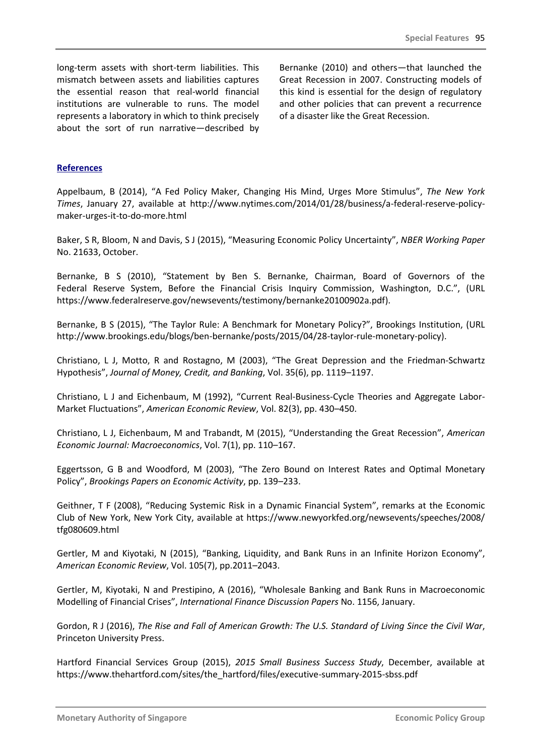long-term assets with short-term liabilities. This mismatch between assets and liabilities captures the essential reason that real-world financial institutions are vulnerable to runs. The model represents a laboratory in which to think precisely about the sort of run narrative—described by Bernanke (2010) and others—that launched the Great Recession in 2007. Constructing models of this kind is essential for the design of regulatory and other policies that can prevent a recurrence of a disaster like the Great Recession.

### **References**

Appelbaum, B (2014), "A Fed Policy Maker, Changing His Mind, Urges More Stimulus", *The New York Times*, January 27, available at http://www.nytimes.com/2014/01/28/business/a-federal-reserve-policymaker-urges-it-to-do-more.html

Baker, S R, Bloom, N and Davis, S J (2015), "Measuring Economic Policy Uncertainty", *NBER Working Paper*  No. 21633, October.

Bernanke, B S (2010), "Statement by Ben S. Bernanke, Chairman, Board of Governors of the Federal Reserve System, Before the Financial Crisis Inquiry Commission, Washington, D.C.", (URL https://www.federalreserve.gov/newsevents/testimony/bernanke20100902a.pdf).

Bernanke, B S (2015), "The Taylor Rule: A Benchmark for Monetary Policy?", Brookings Institution, (URL http://www.brookings.edu/blogs/ben-bernanke/posts/2015/04/28-taylor-rule-monetary-policy).

Christiano, L J, Motto, R and Rostagno, M (2003), "The Great Depression and the Friedman-Schwartz Hypothesis", *Journal of Money, Credit, and Banking*, Vol. 35(6), pp. 1119–1197.

Christiano, L J and Eichenbaum, M (1992), "Current Real-Business-Cycle Theories and Aggregate Labor-Market Fluctuations", *American Economic Review*, Vol. 82(3), pp. 430–450.

Christiano, L J, Eichenbaum, M and Trabandt, M (2015), "Understanding the Great Recession", *American Economic Journal: Macroeconomics*, Vol. 7(1), pp. 110–167.

Eggertsson, G B and Woodford, M (2003), "The Zero Bound on Interest Rates and Optimal Monetary Policy", *Brookings Papers on Economic Activity*, pp. 139–233.

Geithner, T F (2008), "Reducing Systemic Risk in a Dynamic Financial System", remarks at the Economic Club of New York, New York City, available at https://www.newyorkfed.org/newsevents/speeches/2008/ tfg080609.html

Gertler, M and Kiyotaki, N (2015), "Banking, Liquidity, and Bank Runs in an Infinite Horizon Economy", *American Economic Review*, Vol. 105(7), pp.2011–2043.

Gertler, M, Kiyotaki, N and Prestipino, A (2016), "Wholesale Banking and Bank Runs in Macroeconomic Modelling of Financial Crises", *International Finance Discussion Papers* No. 1156, January.

Gordon, R J (2016), *The Rise and Fall of American Growth: The U.S. Standard of Living Since the Civil War*, Princeton University Press.

Hartford Financial Services Group (2015), *2015 Small Business Success Study*, December, available at https://www.thehartford.com/sites/the\_hartford/files/executive-summary-2015-sbss.pdf